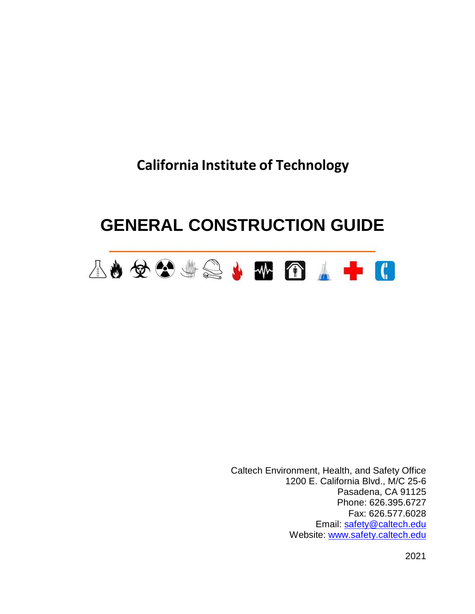# **California Institute of Technology**

# **GENERAL CONSTRUCTION GUIDE**



Caltech Environment, Health, and Safety Office 1200 E. California Blvd., M/C 25-6 Pasadena, CA 91125 Phone: 626.395.6727 Fax: 626.577.6028 Email: [safety@caltech.edu](mailto:safety@caltech.edu) Website: [www.safety.caltech.edu](http://www.safety.caltech.edu/)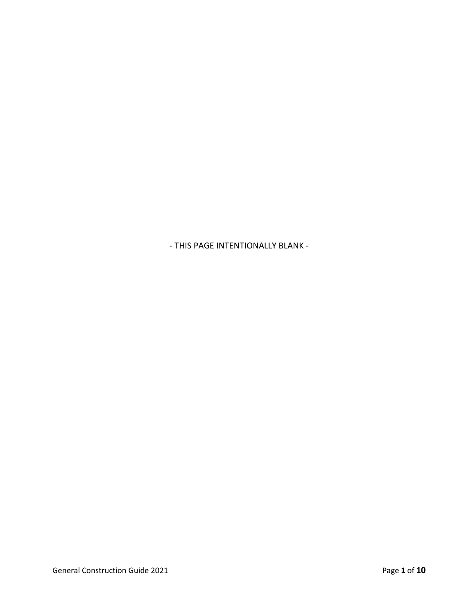- THIS PAGE INTENTIONALLY BLANK -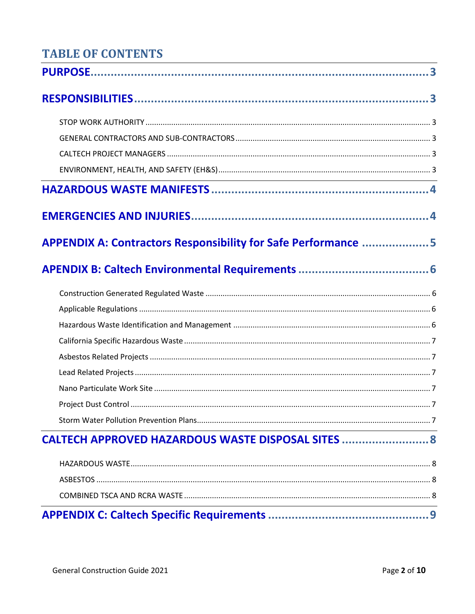# **TABLE OF CONTENTS**

| APPENDIX A: Contractors Responsibility for Safe Performance 5 |
|---------------------------------------------------------------|
|                                                               |
|                                                               |
|                                                               |
|                                                               |
|                                                               |
|                                                               |
|                                                               |
|                                                               |
|                                                               |
|                                                               |
| CALTECH APPROVED HAZARDOUS WASTE DISPOSAL SITES  8            |
|                                                               |
|                                                               |
|                                                               |
|                                                               |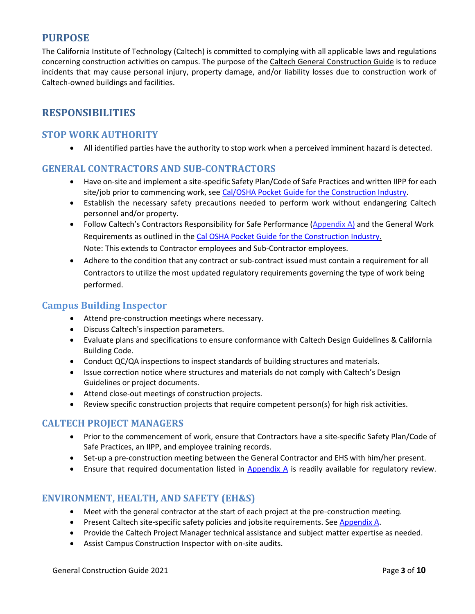# <span id="page-3-0"></span>**PURPOSE**

The California Institute of Technology (Caltech) is committed to complying with all applicable laws and regulations concerning construction activities on campus. The purpose of the Caltech General Construction Guide is to reduce incidents that may cause personal injury, property damage, and/or liability losses due to construction work of Caltech-owned buildings and facilities.

# <span id="page-3-1"></span>**RESPONSIBILITIES**

## <span id="page-3-2"></span>**STOP WORK AUTHORITY**

All identified parties have the authority to stop work when a perceived imminent hazard is detected.

#### <span id="page-3-3"></span>**GENERAL CONTRACTORS AND SUB-CONTRACTORS**

- Have on-site and implement a site-specific Safety Plan/Code of Safe Practices and written IIPP for each site/job prior to commencing work, see [Cal/OSHA Pocket Guide for the Construction Industry.](https://www.dir.ca.gov/dosh/dosh_publications/ConstGuideOnline.pdf)
- Establish the necessary safety precautions needed to perform work without endangering Caltech personnel and/or property.
- Follow Caltech's Contractors Responsibility for Safe Performance [\(Appendix A\)](#page-5-0) and the General Work Requirements as outlined in th[e Cal OSHA Pocket Guide for the Construction Industry.](https://www.dir.ca.gov/dosh/dosh_publications/ConstGuideOnline.pdf) Note: This extends to Contractor employees and Sub-Contractor employees.
- Adhere to the condition that any contract or sub-contract issued must contain a requirement for all Contractors to utilize the most updated regulatory requirements governing the type of work being performed.

## **Campus Building Inspector**

- Attend pre-construction meetings where necessary.
- Discuss Caltech's inspection parameters.
- Evaluate plans and specifications to ensure conformance with Caltech Design Guidelines & California Building Code.
- Conduct QC/QA inspections to inspect standards of building structures and materials.
- Issue correction notice where structures and materials do not comply with Caltech's Design Guidelines or project documents.
- Attend close-out meetings of construction projects.
- Review specific construction projects that require competent person(s) for high risk activities.

## <span id="page-3-4"></span>**CALTECH PROJECT MANAGERS**

- Prior to the commencement of work, ensure that Contractors have a site-specific Safety Plan/Code of Safe Practices, an IIPP, and employee training records.
- Set-up a pre-construction meeting between the General Contractor and EHS with him/her present.
- **Ensure that required documentation listed in [Appendix A](#page-5-0) is readily available for regulatory review.**

## <span id="page-3-5"></span>**ENVIRONMENT, HEALTH, AND SAFETY (EH&S)**

- Meet with the general contractor at the start of each project at the pre-construction meeting.
- **Present Caltech site-specific safety policies and jobsite requirements. Se[e Appendix A.](#page-5-0)**
- Provide the Caltech Project Manager technical assistance and subject matter expertise as needed.
- Assist Campus Construction Inspector with on-site audits.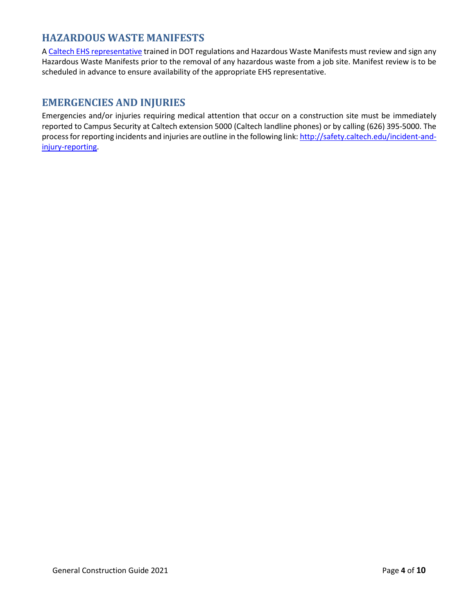# <span id="page-4-0"></span>**HAZARDOUS WASTE MANIFESTS**

A Caltech [EHS representative](http://safety.caltech.edu/root-pages/hazardous-waste-manifests) trained in DOT regulations and Hazardous Waste Manifests must review and sign any Hazardous Waste Manifests prior to the removal of any hazardous waste from a job site. Manifest review is to be scheduled in advance to ensure availability of the appropriate EHS representative.

## <span id="page-4-1"></span>**EMERGENCIES AND INJURIES**

Emergencies and/or injuries requiring medical attention that occur on a construction site must be immediately reported to Campus Security at Caltech extension 5000 (Caltech landline phones) or by calling (626) 395-5000. The process for reporting incidents and injuries are outline in the following link[: http://safety.caltech.edu/incident-and](http://safety.caltech.edu/incident-and-injury-reporting)[injury-reporting.](http://safety.caltech.edu/incident-and-injury-reporting)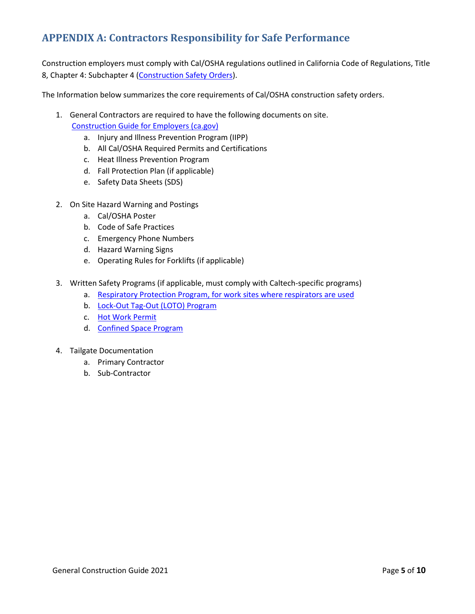# <span id="page-5-0"></span>**APPENDIX A: Contractors Responsibility for Safe Performance**

Construction employers must comply with Cal/OSHA regulations outlined in California Code of Regulations, Title 8, Chapter 4: Subchapter 4 (Construction [Safety Orders\)](https://www.dir.ca.gov/Title8/sub4.html).

The Information below summarizes the core requirements of Cal/OSHA construction safety orders.

- 1. General Contractors are required to have the following documents on site. [Construction Guide for Employers \(ca.gov\)](https://www.dir.ca.gov/dosh/Construction-guide-summary.html)
	- a. Injury and Illness Prevention Program (IIPP)
	- b. All Cal/OSHA Required Permits and Certifications
	- c. Heat Illness Prevention Program
	- d. Fall Protection Plan (if applicable)
	- e. Safety Data Sheets (SDS)
- 2. On Site Hazard Warning and Postings
	- a. Cal/OSHA Poster
	- b. Code of Safe Practices
	- c. Emergency Phone Numbers
	- d. Hazard Warning Signs
	- e. Operating Rules for Forklifts (if applicable)
- 3. Written Safety Programs (if applicable, must comply with Caltech-specific programs)
	- a. [Respiratory Protection Program, for work sites where respirators are used](http://www.safety.caltech.edu/documents/14115/Respiratory_Protection_Program.pdf)
	- b. [Lock-Out Tag-Out \(LOTO\) Program](http://www.safety.caltech.edu/documents/14113/Lockout_Tagout.pdf)
	- c. [Hot Work Permit](http://www.safety.caltech.edu/documents/14120/Hot_Work_Permit_Program.pdf)
	- d. [Confined Space Program](http://www.safety.caltech.edu/documents/13969/Confined_Space_Program.pdf)
- 4. Tailgate Documentation
	- a. Primary Contractor
	- b. Sub-Contractor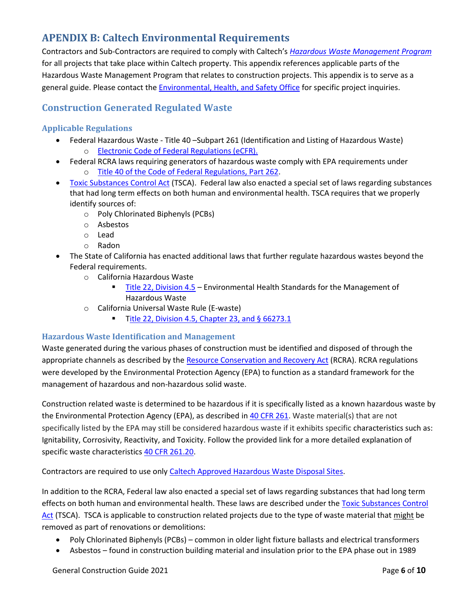# <span id="page-6-0"></span>**APENDIX B: Caltech Environmental Requirements**

Contractors and Sub-Contractors are required to comply with Caltech's *[Hazardous Waste Management Program](http://www.safety.caltech.edu/documents/16478/Hazardous_Waste_Management_Guide.pdf)* for all projects that take place within Caltech property. This appendix references applicable parts of the Hazardous Waste Management Program that relates to construction projects. This appendix is to serve as a general guide. Please contact th[e Environmental, Health,](mailto:safety@caltech.edu) and Safety Office for specific project inquiries.

# <span id="page-6-1"></span>**Construction Generated Regulated Waste**

#### <span id="page-6-2"></span>**Applicable Regulations**

- Federal Hazardous Waste Title 40 –Subpart 261 (Identification and Listing of Hazardous Waste) o [Electronic Code of Federal Regulations \(eCFR\).](https://www.ecfr.gov/cgi-bin/text-idx?node=sp40.28.261.c)
- Federal RCRA laws requiring generators of hazardous waste comply with EPA requirements under o Title [40 of the Code of Federal Regulations, Part 262.](https://www.ecfr.gov/cgi-bin/text-idx?tpl=/ecfrbrowse/Title40/40cfr262_main_02.tpl)
- [Toxic Substances Control Act](https://www.ecfr.gov/cgi-bin/text-idx?node=pt40.33.711&rgn=div5) (TSCA). Federal law also enacted a special set of laws regarding substances that had long term effects on both human and environmental health. TSCA requires that we properly identify sources of:
	- o Poly Chlorinated Biphenyls (PCBs)
	- o Asbestos
	- o Lead
	- o Radon
- The State of California has enacted additional laws that further regulate hazardous wastes beyond the Federal requirements.
	- o California Hazardous Waste
		- [Title 22, Division 4.5](https://dtsc.ca.gov/dtsc-laws-regulations/title22/) Environmental Health Standards for the Management of Hazardous Waste
	- o California Universal Waste Rule (E-waste)
		- **[Title 22, Division 4.5, Chapter 23, and § 66273.1](https://govt.westlaw.com/calregs/Document/I05F7EA0CB17142D68DE9FB8C9D4E55F2?viewType=FullText&originationContext=documenttoc&transitionType=CategoryPageItem&contextData=(sc.Default))**

#### <span id="page-6-3"></span>**Hazardous Waste Identification and Management**

Waste generated during the various phases of construction must be identified and disposed of through the appropriate channels as described by the [Resource Conservation and Recovery Act](https://www.ecfr.gov/cgi-bin/text-idx?tpl=/ecfrbrowse/Title40/40cfr262_main_02.tpl) (RCRA). RCRA regulations were developed by the Environmental Protection Agency (EPA) to function as a standard framework for the management of hazardous and non-hazardous solid waste.

Construction related waste is determined to be hazardous if it is specifically listed as a known hazardous waste by the Environmental Protection Agency (EPA), as described in [40 CFR 261.](https://www.ecfr.gov/cgi-bin/text-idx?node=pt40.28.261&rgn=div5) Waste material(s) that are not specifically listed by the EPA may still be considered hazardous waste if it exhibits specific characteristics such as: Ignitability, Corrosivity, Reactivity, and Toxicity. Follow the provided link for a more detailed explanation of specific waste characteristics [40 CFR 261.20.](https://www.ecfr.gov/cgi-bin/text-idx?node=sp40.28.261.c/)

Contractors are required to use onl[y Caltech Approved Hazardous Waste Disposal Sites.](#page-8-0)

In addition to the RCRA, Federal law also enacted a special set of laws regarding substances that had long term effects on both human and environmental health. These laws are described under th[e Toxic Substances Control](https://www.ecfr.gov/cgi-bin/text-idx?node=pt40.33.711&rgn=div5)  [Act](https://www.ecfr.gov/cgi-bin/text-idx?node=pt40.33.711&rgn=div5) (TSCA). TSCA is applicable to construction related projects due to the type of waste material that might be removed as part of renovations or demolitions:

- Poly Chlorinated Biphenyls (PCBs) common in older light fixture ballasts and electrical transformers
- Asbestos found in construction building material and insulation prior to the EPA phase out in 1989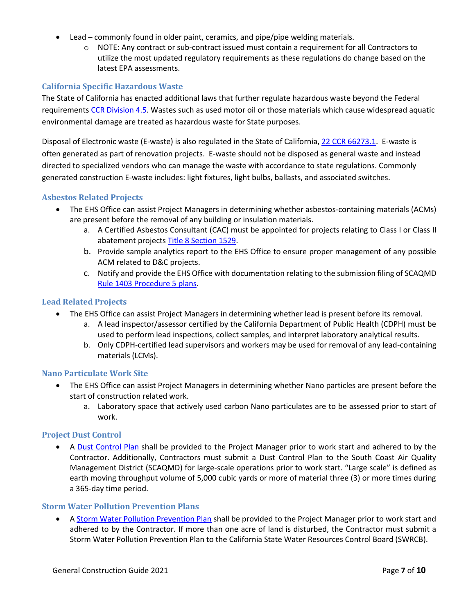- Lead commonly found in older paint, ceramics, and pipe/pipe welding materials.
	- $\circ$  NOTE: Any contract or sub-contract issued must contain a requirement for all Contractors to utilize the most updated regulatory requirements as these regulations do change based on the latest EPA assessments.

#### <span id="page-7-0"></span>**California Specific Hazardous Waste**

The State of California has enacted additional laws that further regulate hazardous waste beyond the Federal requirements [CCR Division 4.5.](https://dtsc.ca.gov/dtsc-laws-regulations/title22/) Wastes such as used motor oil or those materials which cause widespread aquatic environmental damage are treated as hazardous waste for State purposes.

Disposal of Electronic waste (E-waste) is also regulated in the State of California[, 22 CCR 66273.1.](https://govt.westlaw.com/calregs/Document/I05F7EA0CB17142D68DE9FB8C9D4E55F2?viewType=FullText&originationContext=documenttoc&transitionType=CategoryPageItem&contextData=(sc.Default)) E-waste is often generated as part of renovation projects. E-waste should not be disposed as general waste and instead directed to specialized vendors who can manage the waste with accordance to state regulations. Commonly generated construction E-waste includes: light fixtures, light bulbs, ballasts, and associated switches.

#### <span id="page-7-1"></span>**Asbestos Related Projects**

- The EHS Office can assist Project Managers in determining whether asbestos-containing materials (ACMs) are present before the removal of any building or insulation materials.
	- a. A Certified Asbestos Consultant (CAC) must be appointed for projects relating to Class I or Class II abatement projects [Title 8 Section 1529.](https://www.dir.ca.gov/title8/1529.html)
	- b. Provide sample analytics report to the EHS Office to ensure proper management of any possible ACM related to D&C projects.
	- c. Notify and provide the EHS Office with documentation relating to the submission filing of SCAQMD [Rule 1403 Procedure 5 plans.](https://www.aqmd.gov/docs/default-source/compliance/Asbestos-Demolition-/procedure5_guidelineDC2E0081F4B7.doc)

#### <span id="page-7-2"></span>**Lead Related Projects**

- The EHS Office can assist Project Managers in determining whether lead is present before its removal.
	- a. A lead inspector/assessor certified by the California Department of Public Health (CDPH) must be used to perform lead inspections, collect samples, and interpret laboratory analytical results.
	- b. Only CDPH-certified lead supervisors and workers may be used for removal of any lead-containing materials (LCMs).

#### <span id="page-7-3"></span>**Nano Particulate Work Site**

- The EHS Office can assist Project Managers in determining whether Nano particles are present before the start of construction related work.
	- a. Laboratory space that actively used carbon Nano particulates are to be assessed prior to start of work.

#### <span id="page-7-4"></span>**Project Dust Control**

 A [Dust Control Plan](https://www.google.com/url?sa=t&rct=j&q=&esrc=s&source=web&cd=&cad=rja&uact=8&ved=2ahUKEwiciK-1tNvwAhWWhJ4KHSgACEMQFnoECAkQAA&url=https%3A%2F%2Fwww.aqmd.gov%2Fhome%2Frules-compliance%2Fcompliance%2Frule-403-dust-control-information&usg=AOvVaw0wEfpktbLpq354JYLj5WC8) shall be provided to the Project Manager prior to work start and adhered to by the Contractor. Additionally, Contractors must submit a Dust Control Plan to the South Coast Air Quality Management District (SCAQMD) for large-scale operations prior to work start. "Large scale" is defined as earth moving throughput volume of 5,000 cubic yards or more of material three (3) or more times during a 365-day time period.

#### <span id="page-7-5"></span>**Storm Water Pollution Prevention Plans**

• A [Storm Water Pollution Prevention Plan](https://www.waterboards.ca.gov/water_issues/programs/stormwater/) shall be provided to the Project Manager prior to work start and adhered to by the Contractor. If more than one acre of land is disturbed, the Contractor must submit a Storm Water Pollution Prevention Plan to the California State Water Resources Control Board (SWRCB).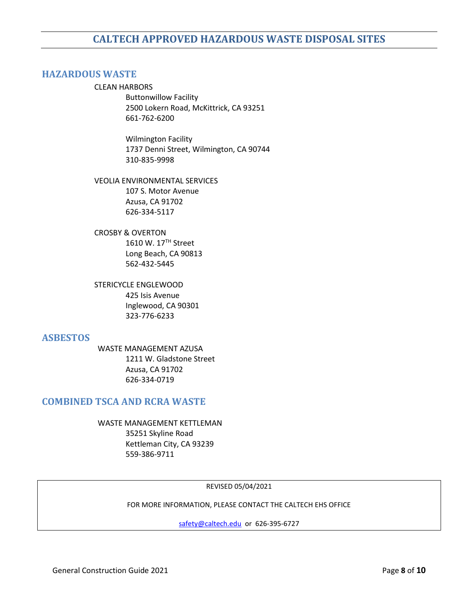# **CALTECH APPROVED HAZARDOUS WASTE DISPOSAL SITES**

#### <span id="page-8-1"></span><span id="page-8-0"></span>**HAZARDOUS WASTE**

CLEAN HARBORS Buttonwillow Facility 2500 Lokern Road, McKittrick, CA 93251 661-762-6200

> Wilmington Facility 1737 Denni Street, Wilmington, CA 90744 310-835-9998

VEOLIA ENVIRONMENTAL SERVICES 107 S. Motor Avenue Azusa, CA 91702 626-334-5117

## CROSBY & OVERTON 1610 W. 17<sup>TH</sup> Street Long Beach, CA 90813 562-432-5445

STERICYCLE ENGLEWOOD 425 Isis Avenue Inglewood, CA 90301 323-776-6233

#### <span id="page-8-2"></span>**ASBESTOS**

WASTE MANAGEMENT AZUSA 1211 W. Gladstone Street Azusa, CA 91702 626-334-0719

## <span id="page-8-3"></span>**COMBINED TSCA AND RCRA WASTE**

WASTE MANAGEMENT KETTLEMAN 35251 Skyline Road Kettleman City, CA 93239 559-386-9711

REVISED 05/04/2021

#### FOR MORE INFORMATION, PLEASE CONTACT THE CALTECH EHS OFFICE

[safety@caltech.edu](mailto:safety@caltech.edu) or 626-395-6727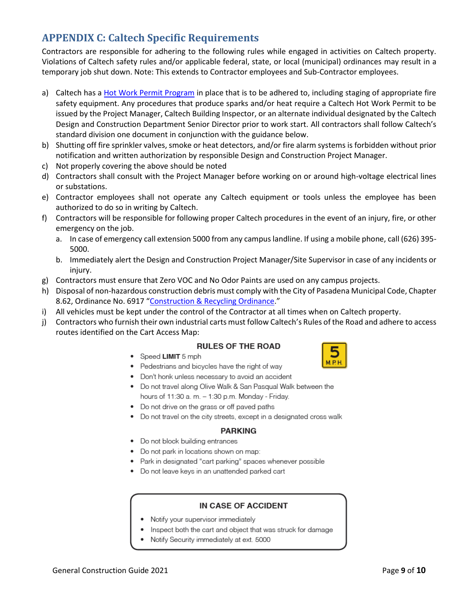# <span id="page-9-0"></span>**APPENDIX C: Caltech Specific Requirements**

Contractors are responsible for adhering to the following rules while engaged in activities on Caltech property. Violations of Caltech safety rules and/or applicable federal, state, or local (municipal) ordinances may result in a temporary job shut down. Note: This extends to Contractor employees and Sub-Contractor employees.

- a) Caltech has a [Hot Work Permit Program](https://www.safety.caltech.edu/documents/14120/Hot_Work_Permit_Program.pdf) in place that is to be adhered to, including staging of appropriate fire safety equipment. Any procedures that produce sparks and/or heat require a Caltech Hot Work Permit to be issued by the Project Manager, Caltech Building Inspector, or an alternate individual designated by the Caltech Design and Construction Department Senior Director prior to work start. All contractors shall follow Caltech's standard division one document in conjunction with the guidance below.
- b) Shutting off fire sprinkler valves, smoke or heat detectors, and/or fire alarm systems is forbidden without prior notification and written authorization by responsible Design and Construction Project Manager.
- c) Not properly covering the above should be noted
- d) Contractors shall consult with the Project Manager before working on or around high-voltage electrical lines or substations.
- e) Contractor employees shall not operate any Caltech equipment or tools unless the employee has been authorized to do so in writing by Caltech.
- f) Contractors will be responsible for following proper Caltech procedures in the event of an injury, fire, or other emergency on the job.
	- a. In case of emergency call extension 5000 from any campus landline. If using a mobile phone, call (626) 395- 5000.
	- b. Immediately alert the Design and Construction Project Manager/Site Supervisor in case of any incidents or injury.
- g) Contractors must ensure that Zero VOC and No Odor Paints are used on any campus projects.
- h) Disposal of non-hazardous construction debris must comply with the City of Pasadena Municipal Code, Chapter 8.62, Ordinance No. 6917 "[Construction & Recycling Ordinance](https://library.municode.com/ca/pasadena/codes/code_of_ordinances?nodeId=TIT8HESA_CH8.62WAMAPLCECODEPRWIPA_8.62.040WAMAPLRE)."
- i) All vehicles must be kept under the control of the Contractor at all times when on Caltech property.
- j) Contractors who furnish their own industrial carts must follow Caltech's Rules of the Road and adhere to access routes identified on the Cart Access Map:

#### **RULES OF THE ROAD**

• Speed LIMIT 5 mph

**MPI** 

- 
- Pedestrians and bicycles have the right of way • Don't honk unless necessary to avoid an accident
- Do not travel along Olive Walk & San Pasqual Walk between the
- hours of 11:30 a. m. 1:30 p.m. Monday Friday. • Do not drive on the grass or off paved paths
- Do not travel on the city streets, except in a designated cross walk

#### **PARKING**

- Do not block building entrances
- Do not park in locations shown on map:
- Park in designated "cart parking" spaces whenever possible
- Do not leave keys in an unattended parked cart

#### IN CASE OF ACCIDENT

- Notify your supervisor immediately ٠
- Inspect both the cart and object that was struck for damage
- Notify Security immediately at ext. 5000